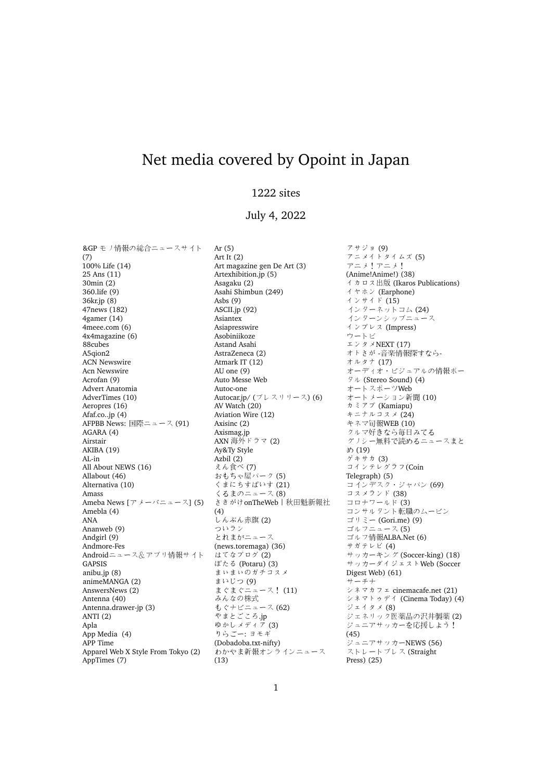## Net media covered by Opoint in Japan

## 1222 sites

## July 4, 2022

&GP モノ情報の総合ニュースサイト (7) 100% Life (14) 25 Ans (11) 30min (2) 360.life (9) 36kr.jp (8) 47news (182) 4gamer (14) 4meee.com (6) 4x4magazine (6) 88cubes A5qion2 ACN Newswire Acn Newswire Acrofan (9) Advert Anatomia AdverTimes (10) Aeropres (16) Afaf.co..jp (4) AFPBB News: 国際ニュース (91) AGARA (4) Airstair AKIBA (19) AL-in All About NEWS (16) Allabout (46) Alternativa (10) Amass Ameba News  $[\nabla \times -\wedge^{\dagger} \pm \angle -\angle]$  (5) Amebla (4) ANA Ananweb (9) Andgirl (9) Andmore-Fes Androidニュース&アプリ情報サイト GAPSIS anibu.jp (8) animeMANGA (2) AnswersNews (2) Antenna (40) Antenna.drawer-jp (3) ANTI (2) Apla App Media (4) APP Time Apparel Web X Style From Tokyo (2) AppTimes (7)

Ar (5) Art It (2) Art magazine gen De Art (3) Artexhibition.jp (5) Asagaku (2) Asahi Shimbun (249) Asbs (9) ASCII.jp (92) Asiantex Asiapresswire Asobiniikoze Astand Asahi AstraZeneca (2) Atmark IT (12) AU one (9) Auto Messe Web Autoc-one Autocar.jp/ (プレスリリース) (6) AV Watch (20) Aviation Wire (12) Axisinc (2) Axismag.jp<br>AXN 海外ドラマ (2)<br>Av&Tv Style Ay&Ty Style Azbil (2) えん食<sup>べ</sup> (7) おもちゃ屋パーク (5) くまにちすぱいす (21) くるまのニュース (8) さきがけonTheWeb | 秋田魁新報社 (4) しんぶん赤旗 (2) ついラン とれまがニュース (news.toremaga) (36) はてなブログ (2) ぽたる (Potaru) (3) まぃまぃのガチコスメ まいじつ (9) まぐまぐニュース! (11) みんなの株式 もぐナビニュース (62) やまとごころ.jp ゆかしメディア (3) りらごー: ヨモギ (Dobadoba.txt-nifty) わかやま新報オンラインニュース (13)

アサジョ (9) アニメイトタイムズ (5) アニメ!アニメ! (Anime!Anime!) (38) イカロス出版 (Ikaros Publications) イヤホン (Earphone) インサイド (15) インターネットコム (24) インターンシップニュース インプレス (Impress) ウートピ エンタメNEXT (17) オトさが -音楽情報探すなら-オルタナ (17) オーディオ・ビジュアルの情報ポー タル (Stereo Sound) (4) オートスポーツWeb オートメーション新聞 (10) カミアプ (Kamiapu) キニナルコスメ (24) キネマ旬報WEB (10) クルマ好きなら毎日みてる グノシー無料で読めるニュースまと め (19) ゲキサカ (3) コインテレグラフ(Coin Telegraph) (5) コインデスク・ジャパン (69) コスメランド (38) コロナワールド (3) コンサルタント転職のムービン ゴリミー (Gori.me) (9) ゴルフニュース (5) ゴルフ情報ALBA.Net (6) サガテレビ (4) サッカーキング (Soccer-king) (18) サッカーダイジェストWeb (Soccer Digest Web) (61) サーチナ シネマカフェ cinemacafe.net (21) シネマトゥデイ (Cinema Today) (4) ジェイタメ (8) ジェネリック医薬品の沢井製薬 (2) ジュニアサッカーを応援しよう! (45) ジュニアサッカーNEWS (56) ストレートプレス (Straight Press) (25)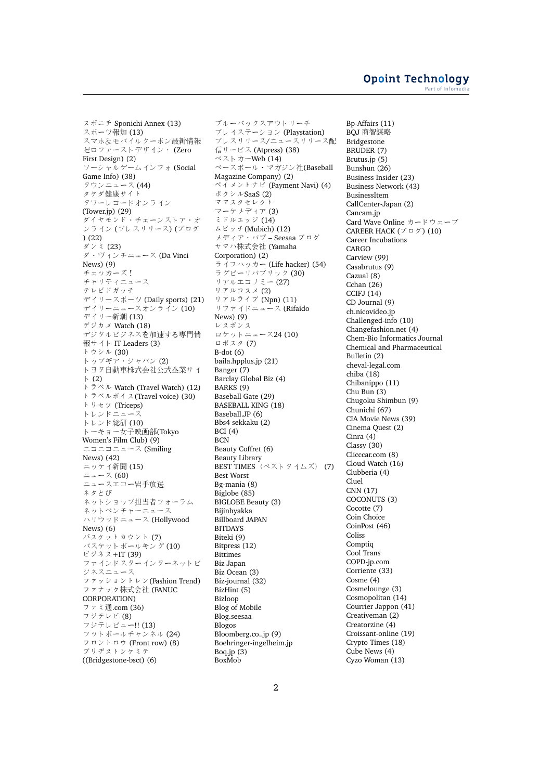スポニチ Sponichi Annex (13) スポーツ報知 (13) スマホ&モバイルクーポン最新情報 ゼロファーストデザイン・ (Zero First Design) (2) ソーシャルゲームインフォ (Social Game Info) (38) タウンニュース (44) タケダ健康サイト タワーレコードオンライン (Tower.jp) (29) ダイヤモンド・チェーンストア・オ ンライン (プレスリリース) (ブログ ) (22) ダンミ (23) ダ・ヴィンチニュース (Da Vinci News) (9) チェッカーズ! *・*<br>チャリティニュース テレビドガッチ デイリースポーツ (Daily sports) (21) デイリーニュースオンライン (10) デイリー新潮 (13) デジカメ Watch (18) デジタルビジネスを加速する専門情 報サイト IT Leaders (3) トウシル (30) トップギア・ジャパン (2) トヨタ自動車株式会社公式企業サイ ト (2) トラベル Watch (Travel Watch) (12) トラベルボイス(Travel voice) (30) トリセツ (Triceps) トレンドニュース トレンド総研 (10) トーキョー女子映画部(Tokyo Women's Film Club) (9) ニコニコニュース (Smiling News) (42) ニッケイ新聞 (15) ニュース (60) ニュースエコー岩手放送 ネタとぴ ネットショップ担当者フォーラム ネットベンチャーニュース ハリウッドニュース (Hollywood News) (6) バスケットカウント (7) バスケットボールキング (10) ビジネス+IT (39) ファインドスターインターネットビ ジネスニュース ファッショントレン(Fashion Trend) ファナック株式会<sup>社</sup> (FANUC CORPORATION) ファミ通.com (36) フジテレビ (8) フジテレビュー!! (13) フットボールチャンネル (24) フロントロウ (Front row) (8) ブリヂストンケミテ ((Bridgestone-bsct) (6)

ブルーバックスアウトリーチ プレイステーション (Playstation) プレスリリース/ニュースリリース配 信サービス (Atpress) (38) ベストカーWeb (14) ベースボール・マガジン社(Baseball Magazine Company) (2) ペイメントナビ (Payment Navi) (4) ボクシルSaaS (2) ママスタセレクト マーケメディア (3) ミドルエッジ (14) ムビッチ(Mubich) (12) メディア・パブ – Seesaa ブログ ヤマハ株式会<sup>社</sup> (Yamaha Corporation) (2) ライフハッカー (Life hacker) (54) ラグビーリパブリック (30) リアルエコノミー (27) リアルコスメ (2) リアルライブ (Npn) (11) リファイドニュース (Rifaido News) (9) レスポンス ロケットニュース24 (10) ロボスタ (7) B-dot (6) baila.hpplus.jp (21) Banger (7) Barclay Global Biz (4) BARKS (9) Baseball Gate (29) BASEBALL KING (18) Baseball.JP (6) Bbs4 sekkaku (2) BCI (4) **BCN** Beauty Coffret (6) Beauty Library BEST TIMES  $(\nless 75)$  (7) Best Worst Bg-mania (8) Biglobe (85) BIGLOBE Beauty (3) Bijinhyakka Billboard JAPAN BITDAYS Biteki (9) Bitpress (12) **Bittimes** Biz Japan Biz Ocean (3) Biz-journal (32) BizHint (5) Bizloop Blog of Mobile Blog.seesaa Blogos Bloomberg.co..jp (9) Boehringer-ingelheim.jp Boq.jp (3) BoxMob

Bp-Affairs (11) BQJ <sup>商</sup>智謀略 Bridgestone BRUDER (7) Brutus.jp (5) Bunshun (26) Business Insider (23) Business Network (43) BusinessItem CallCenter-Japan (2) Cancam.jp Card Wave Online カードウェーブ CAREER HACK  $(7 \Box 7)$  (10) Career Incubations CARGO Carview (99) Casabrutus (9) Cazual (8) Cchan (26) CCIFJ (14) CD Journal (9) ch.nicovideo.jp Challenged-info (10) Changefashion.net (4) Chem-Bio Informatics Journal Chemical and Pharmaceutical Bulletin (2) cheval-legal.com chiba (18) Chibanippo (11) Chu Bun (3) Chugoku Shimbun (9) Chunichi (67) CIA Movie News (39) Cinema Quest (2) Cinra (4) Classy (30) Clicccar.com (8) Cloud Watch (16) Clubberia (4) Cluel CNN (17) COCONUTS (3) Cocotte (7) Coin Choice CoinPost (46) Coliss Comptiq Cool Trans COPD-jp.com Corriente (33) Cosme (4) Cosmelounge (3) Cosmopolitan (14) Courrier Jappon (41) Creativeman (2) Creatorzine (4) Croissant-online (19) Crypto Times (18) Cube News (4) Cyzo Woman (13)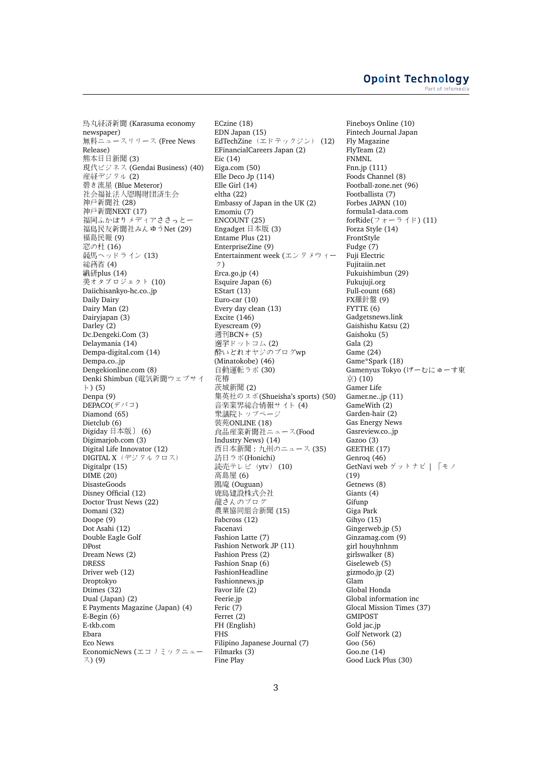烏丸経済新聞 (Karasuma economy newspaper) 無料ニュースリリース (Free News Release) <sup>熊</sup>本日日新聞 (3) 現代ビジネス (Gendai Business) (40) 産経デジタル (2) 碧き流星 (Blue Meteror) 社会福祉法人恩賜財団済生会 神戸新聞社 (28) 神戸新聞NEXT (17) 福岡ふかぼりメディアささっとー 福島民友新聞社みんゆうNet (29) 福島民報 (9) 窓の杜 (16) 競馬ヘッドライン (13) 総務省 (4) 繊研plus (14) 美オタプロジェクト (10) Daiichisankyo-hc.co..jp Daily Dairy Dairy Man (2) Dairyjapan (3) Darley (2) Dc.Dengeki.Com (3) Delaymania (14) Dempa-digital.com (14) Dempa.co..jp Dengekionline.com (8) Denki Shimbun (電気新聞ウェブサイ ト) (5) Denpa (9)  $\widetilde{\mathsf{DEPACO}}(\tilde{\mathcal{T}}^{\,\prime\,\prime}\,\tilde{\mathbb{Z}}\,)$ Diamond (65) Dietclub (6) Digiday <sup>日</sup>本版] (6) Digimarjob.com (3) Digital Life Innovator (12) DIGITAL X(デジタルクロス) Digitalpr (15)  $DIME(20)$ DisasteGoods Disney Official (12) Doctor Trust News (22) Domani (32) Doope (9) Dot Asahi (12) Double Eagle Golf **DPost** Dream News (2) DRESS Driver web (12) Droptokyo Dtimes (32) Dual (Japan) (2) E Payments Magazine (Japan) (4) E-Begin (6) E-tkb.com Ebara Eco News EconomicNews (エコノミックニュー ス) (9)

ECzine (18) EDN Japan (15) EdTechZine(エドテックジン) (12) EFinancialCareers Japan (2) Eic (14) Eiga.com (50) Elle Deco Jp (114) Elle Girl (14) eltha (22) Embassy of Japan in the UK (2) Emomiu (7) ENCOUNT (25) Engadget <sup>日</sup>本版 (3) Entame Plus (21) EnterpriseZine (9) Entertainment week (エンタメウィー ク) Erca.go.jp (4) Esquire Japan (6) EStart (13) Euro-car (10) Every day clean (13) Excite (146) Eyescream (9) 週刊BCN+ (5) 選挙ドットコム (2) 酔いどれオヤジのブログwp (Minatokobe) (46) 自動運転ラボ (30) 花椿 <sup>茨</sup>城新聞 (2) 集英社のスポ(Shueisha's sports) (50) 音楽業界総合情報サイト (4) 衆議院トップページ 装苑ONLINE (18) 食品産業新聞社ニュース(Food Industry News) (14) 西日本新聞 : <sup>九</sup>州のニュー<sup>ス</sup> (35) 訪日ラボ(Honichi) 読売テレビ (ytv) (10) 高島屋 (6) 鴎庵 (Ouguan) 鹿島建設株式会社 龍さんのプログ <sup>農</sup>業協同組合新聞 (15) Fabcross (12) Facenavi Fashion Latte (7) Fashion Network JP (11) Fashion Press (2) Fashion Snap (6) FashionHeadline Fashionnews.jp Favor life (2) Feerie.jp Feric (7) Ferret (2) FH (English) FHS Filipino Japanese Journal (7) Filmarks (3) Fine Play

Fineboys Online (10) Fintech Journal Japan Fly Magazine FlyTeam (2) FNMNL Fnn.jp (111) Foods Channel (8) Football-zone.net (96) Footballista (7) Forbes JAPAN (10) formula1-data.com forRide(フォーライド) (11) Forza Style (14) FrontStyle Fudge (7) Fuji Electric Fujitaiin.net Fukuishimbun (29) Fukujuji.org Full-count (68) FX羅針盤 (9) FYTTE (6) Gadgetsnews.link Gaishishu Katsu (2) Gaishoku (5) Gala (2) Game (24) Game\*Spark (18) Gamenyus Tokyo (げーむにゅーす東 京) (10) Gamer Life Gamer.ne..jp (11) GameWith (2) Garden-hair (2) Gas Energy News Gasreview.co..jp Gazoo (3) GEETHE (17) Genroq (46) GetNavi web ゲットナビ | 「モノ (19) Getnews (8) Giants (4) Gifunp Giga Park Gihyo (15) Gingerweb.jp (5) Ginzamag.com (9) girl houyhnhnm girlswalker (8) Giseleweb (5) gizmodo.jp (2) Glam Global Honda Global information inc Glocal Mission Times (37) GMIPOST Gold jac.jp Golf Network (2) Goo (56) Goo.ne (14) Good Luck Plus (30)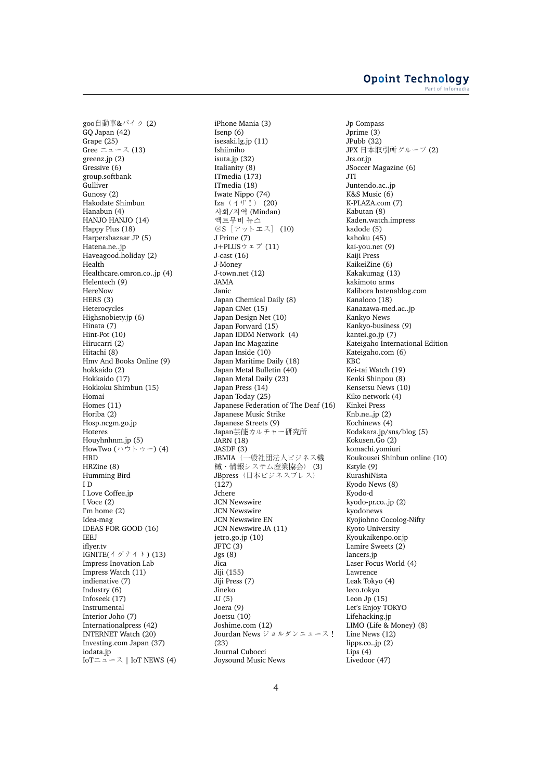goo自動車&バイク (2) GQ Japan (42) Grape (25) Gree ニュース (13) greenz.jp (2) Gressive (6) group.softbank **Gulliver** Gunosy (2) Hakodate Shimbun Hanabun (4) HANJO HANJO (14) Happy Plus (18) Harpersbazaar JP (5) Hatena.ne..jp Haveagood.holiday (2) Health Healthcare.omron.co..jp (4) Helentech (9) HereNow HERS (3) Heterocycles Highsnobiety.jp (6) Hinata (7) Hint-Pot (10) Hirucarri (2) Hitachi (8) Hmv And Books Online (9) hokkaido (2) Hokkaido (17) Hokkoku Shimbun (15) Homai Homes (11) Horiba (2) Hosp.ncgm.go.jp **Hoteres** Houyhnhnm.jp (5) HowTwo  $($ ハウトゥー $)$  (4) HRD HRZine (8) Humming Bird I D I Love Coffee.jp I Voce (2) I'm home (2) Idea-mag IDEAS FOR GOOD (16) IEEJ iflyer ty IGNITE $($ <sup>{</sup>  $\check{$ }  $\check{+}$   $\check{+}$   $\check{+}$   $)$  (13) Impress Inovation Lab Impress Watch (11) indienative (7) Industry (6) Infoseek (17) Instrumental Interior Joho (7) Internationalpress (42) INTERNET Watch (20) Investing.com Japan (37) iodata.jp IoTニュース | IoT NEWS (4)

iPhone Mania (3) Isenp (6) isesaki.lg.jp (11) Ishiimiho isuta.jp (32) Italianity (8) ITmedia (173) ITmedia (18) Iwate Nippo (74) Iza  $(1 + i)$  (20) 사회/지역 (Mindan) 액트무비 뉴스 @S[アットエス] (10) J Prime (7)  $J+PLUS$ ウェブ(11) J-cast (16) J-Money J-town.net (12) JAMA Janic Japan Chemical Daily (8) Japan CNet (15) Japan Design Net (10) Japan Forward (15) Japan IDDM Network (4) Japan Inc Magazine Japan Inside (10) Japan Maritime Daily (18) Japan Metal Bulletin (40) Japan Metal Daily (23) Japan Press (14) Japan Today (25) Japanese Federation of The Deaf (16) Japanese Music Strike Japanese Streets (9) Japan芸能カルチャー研究所 JARN (18) JASDF (3) JBMIA(一般社団法人ビジネス機 械・情報システム産業協会) (3) JBpress (日本ビジネスプレス) (127) Jchere JCN Newswire JCN Newswire JCN Newswire EN JCN Newswire JA (11) jetro.go.jp (10) JFTC (3) Jgs (8) Jica Jiji (155) Jiji Press (7) Jineko JJ (5) Joera (9) Joetsu (10) Joshime.com (12) Jourdan News ジョルダンニュース! (23) Journal Cubocci Joysound Music News

Jp Compass Jprime (3)  $J$ Pubb  $(32)$ JPX 日本取引所グループ (2) Jrs.or.jp JSoccer Magazine (6) JTI Juntendo.ac..jp K&S Music (6) K-PLAZA.com (7) Kabutan (8) Kaden.watch.impress kadode (5) kahoku (45) kai-you.net (9) Kaiji Press KaikeiZine (6) Kakakumag (13) kakimoto arms Kalibora hatenablog.com Kanaloco (18) Kanazawa-med.ac..jp Kankyo News Kankyo-business (9) kantei.go.jp (7) Kateigaho International Edition Kateigaho.com (6) KBC Kei-tai Watch (19) Kenki Shinpou (8) Kensetsu News (10) Kiko network (4) Kinkei Press Knb.ne..jp (2) Kochinews (4) Kodakara.jp/sns/blog (5) Kokusen.Go (2) komachi.yomiuri Koukousei Shinbun online (10) Kstyle (9) KurashiNista Kyodo News (8) Kyodo-d kyodo-pr.co..jp (2) kyodonews Kyojiohno Cocolog-Nifty Kyoto University Kyoukaikenpo.or.jp Lamire Sweets (2) lancers.jp Laser Focus World (4) Lawrence Leak Tokyo (4) leco.tokyo Leon Jp (15) Let's Enjoy TOKYO Lifehacking.jp LIMO (Life & Money) (8) Line News (12) lipps.co..jp (2) Lips (4) Livedoor (47)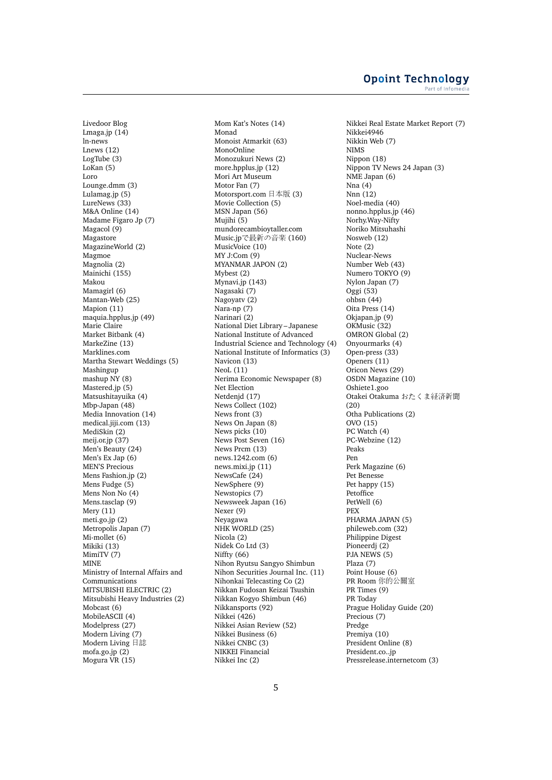Livedoor Blog Lmaga.jp (14) ln-news Lnews (12) LogTube (3) LoKan (5) Loro Lounge.dmm (3) Lulamag.jp (5) LureNews (33) M&A Online (14) Madame Figaro Jp (7) Magacol (9) Magastore MagazineWorld (2) Magmoe Magnolia (2) Mainichi (155) Makou Mamagirl (6) Mantan-Web (25) Mapion (11) maquia.hpplus.jp (49) Marie Claire Market Bitbank (4) MarkeZine (13) Marklines.com Martha Stewart Weddings (5) Mashingup mashup NY (8) Mastered.jp (5) Matsushitayuika (4) Mbp-Japan (48) Media Innovation (14) medical.jiji.com (13) MediSkin (2) meij.or.jp (37) Men's Beauty (24) Men's Ex Jap (6) MEN'S Precious Mens Fashion.jp (2) Mens Fudge (5) Mens Non No (4) Mens.tasclap (9) Mery (11) meti.go.jp (2) Metropolis Japan (7) Mi-mollet (6) Mikiki (13) MimiTV (7) **MINE** Ministry of Internal Affairs and Communications MITSUBISHI ELECTRIC (2) Mitsubishi Heavy Industries (2) Mobcast (6) MobileASCII (4) Modelpress (27) Modern Living (7) Modern Living 日誌 mofa.go.jp (2) Mogura VR (15)

Mom Kat's Notes (14) Monad Monoist Atmarkit (63) MonoOnline Monozukuri News (2) more.hpplus.jp (12) Mori Art Museum Motor Fan (7) Motorsport.com <sup>日</sup>本版 (3) Movie Collection (5) MSN Japan (56) Mujihi (5) mundorecambioytaller.com Music.jpで最新の音楽 (160) MusicVoice (10) MY J:Com (9) MYANMAR JAPON (2) Mybest (2) Mynavi.jp (143) Nagasaki (7) Nagoyatv (2) Nara-np (7) Narinari (2) National Diet Library – Japanese National Institute of Advanced Industrial Science and Technology (4) National Institute of Informatics (3) Navicon (13) NeoL (11) Nerima Economic Newspaper (8) Net Election Netdenjd (17) News Collect (102) News front (3) News On Japan (8) News picks (10) News Post Seven (16) News Prcm (13) news.1242.com (6) news.mixi.jp (11) NewsCafe (24) NewSphere (9) Newstopics (7) Newsweek Japan (16) Nexer (9) Neyagawa NHK WORLD (25) Nicola (2) Nidek Co Ltd (3) Niffty (66) Nihon Ryutsu Sangyo Shimbun Nihon Securities Journal Inc. (11) Nihonkai Telecasting Co (2) Nikkan Fudosan Keizai Tsushin Nikkan Kogyo Shimbun (46) Nikkansports (92) Nikkei (426) Nikkei Asian Review (52) Nikkei Business (6) Nikkei CNBC (3) NIKKEI Financial Nikkei Inc (2)

Nikkei Real Estate Market Report (7) Nikkei4946 Nikkin Web (7) NIMS Nippon (18) Nippon TV News 24 Japan (3) NME Japan (6) Nna  $(4)$ Nnn (12) Noel-media (40) nonno.hpplus.jp (46) Norhy.Way-Nifty Noriko Mitsuhashi Nosweb (12) Note (2) Nuclear-News Number Web (43) Numero TOKYO (9) Nylon Japan (7) Oggi (53) ohbsn (44) Oita Press (14) Okjapan.jp (9) OKMusic (32) OMRON Global (2) Onyourmarks (4) Open-press (33) Openers (11) Oricon News (29) OSDN Magazine (10) Oshiete1.goo Otakei Otakuma おたくま経済新聞 (20) Otha Publications (2) OVO (15) PC Watch (4) PC-Webzine (12) Peaks Pen Perk Magazine (6) Pet Benesse Pet happy (15) Petoffice PetWell (6) PEX PHARMA JAPAN (5) phileweb.com (32) Philippine Digest Pioneerdj (2) PJA NEWS (5) Plaza (7) Point House (6) PR Room 你的公關<sup>室</sup> PR Times (9) PR Today Prague Holiday Guide (20) Precious (7) Predge Premiya (10) President Online (8) President.co..jp Pressrelease.internetcom (3)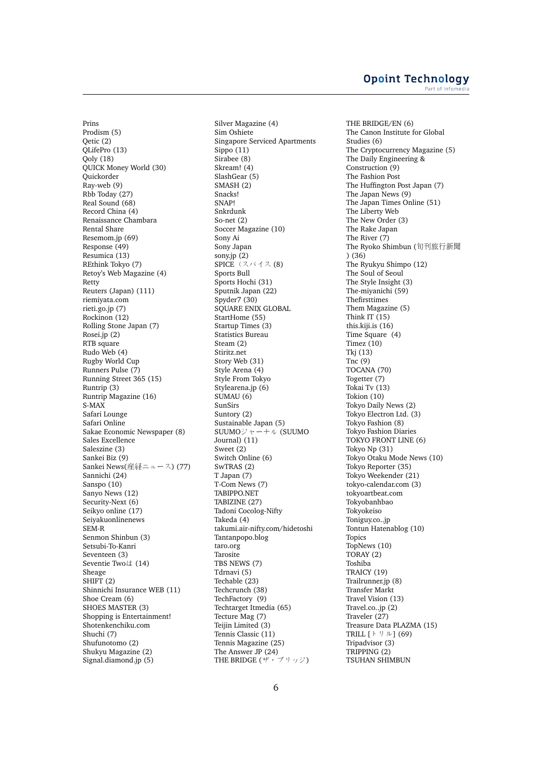Prins Prodism (5) Qetic (2) QLifePro (13)  $Oolv(18)$ QUICK Money World (30) Quickorder Ray-web (9) Rbb Today (27) Real Sound (68) Record China (4) Renaissance Chambara Rental Share Resemom.jp (69) Response (49) Resumica (13) REthink Tokyo (7) Retoy's Web Magazine (4) Retty Reuters (Japan) (111) riemiyata.com rieti.go.jp (7) Rockinon (12) Rolling Stone Japan (7) Rosei.jp (2) RTB square Rudo Web (4) Rugby World Cup Runners Pulse (7) Running Street 365 (15) Runtrip (3) Runtrip Magazine (16) S-MAX Safari Lounge Safari Online Sakae Economic Newspaper (8) Sales Excellence Saleszine (3) Sankei Biz (9) Sankei News(産経ニュース) (77) Sannichi (24) Sanspo (10) Sanyo News (12) Security-Next (6) Seikyo online (17) Seiyakuonlinenews SEM-R Senmon Shinbun (3) Setsubi-To-Kanri Seventeen (3) Seventie Twoは (14) Sheage SHIFT (2) Shinnichi Insurance WEB (11) Shoe Cream (6) SHOES MASTER (3) Shopping is Entertainment! Shotenkenchiku.com Shuchi (7) Shufunotomo (2) Shukyu Magazine (2) Signal.diamond.jp (5)

Silver Magazine (4) Sim Oshiete Singapore Serviced Apartments Sippo (11) Sirabee (8) Skream! (4) SlashGear (5) SMASH (2) Snacks! SNAP! Snkrdunk So-net (2) Soccer Magazine (10) Sony Ai Sony Japan sony.jp (2)<br>SPICE(スパイス (8) Sports Bull Sports Hochi (31) Sputnik Japan (22) Spyder7 (30) SQUARE ENIX GLOBAL StartHome (55) Startup Times (3) Statistics Bureau Steam (2) Stiritz.net Story Web (31) Style Arena (4) Style From Tokyo Stylearena.jp (6) SUMAU (6) SunSirs Suntory (2) Sustainable Japan (5) SUUMOジャーナル (SUUMO Journal) (11) Sweet (2) Switch Online (6) SwTRAS (2) T Japan (7) T-Com News (7) TABIPPO.NET TABIZINE (27) Tadoni Cocolog-Nifty Takeda (4) takumi.air-nifty.com/hidetoshi Tantanpopo.blog taro.org Tarosite TBS NEWS (7) Tdrnavi (5) Techable (23) Techcrunch (38) TechFactory (9) Techtarget Itmedia (65) Tecture Mag (7) Teijin Limited (3) Tennis Classic (11) Tennis Magazine (25) The Answer JP (24) THE BRIDGE (ザ・ブリッジ)

THE BRIDGE/EN (6) The Canon Institute for Global Studies (6) The Cryptocurrency Magazine (5) The Daily Engineering & Construction (9) The Fashion Post The Huffington Post Japan (7) The Japan News (9) The Japan Times Online (51) The Liberty Web The New Order (3) The Rake Japan The River (7) The Ryoko Shimbun (旬刊旅行新聞 ) (36) The Ryukyu Shimpo (12) The Soul of Seoul The Style Insight (3) The-miyanichi (59) Thefirsttimes Them Magazine (5) Think IT (15) this.kiji.is (16) Time Square (4) Timez (10) Tkj (13)  $Tnc(9)$ TOCANA (70) Togetter (7) Tokai Tv (13) Tokion (10) Tokyo Daily News (2) Tokyo Electron Ltd. (3) Tokyo Fashion (8) Tokyo Fashion Diaries TOKYO FRONT LINE (6) Tokyo Np (31) Tokyo Otaku Mode News (10) Tokyo Reporter (35) Tokyo Weekender (21) tokyo-calendar.com (3) tokyoartbeat.com Tokyobanhbao Tokyokeiso Toniguy.co..jp Tontun Hatenablog (10) Topics TopNews (10) TORAY (2) Toshiba TRAICY (19) Trailrunner.jp (8) Transfer Markt Travel Vision (13) Travel.co..jp (2) Traveler (27) Treasure Data PLAZMA (15) TRILL [トリル] (69) Tripadvisor (3) TRIPPING (2) TSUHAN SHIMBUN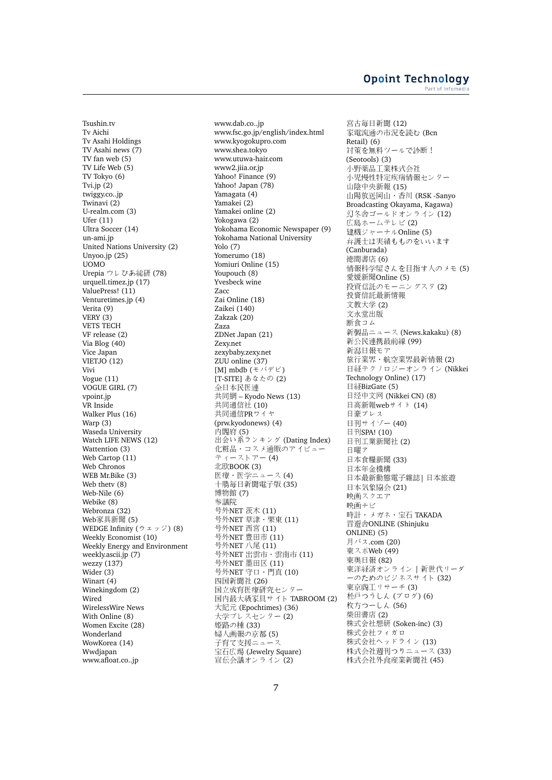Tsushin.tv Tv Aichi Tv Asahi Holdings TV Asahi news (7) TV fan web (5) TV Life Web (5) TV Tokyo (6) Tvi.jp (2) twiggy.co..jp Twinavi (2) U-realm.com (3) Ufer (11) Ultra Soccer (14) un-ami.jp United Nations University (2) Unyoo.jp (25) UOMO Urepia ウレぴあ総研 (78) urquell.timez.jp (17) ValuePress! (11) Venturetimes.jp (4) Verita (9) VERY (3) VETS TECH VF release (2) Via Blog (40) Vice Japan VIETJO (12) Vivi Vogue (11) VOGUE GIRL (7) vpoint.jp VR Inside Walker Plus (16) Warp (3) Waseda University Watch LIFE NEWS (12) Wattention (3) Web Cartop (11) Web Chronos WEB Mr.Bike (3) Web thetv (8) Web-Nile (6) Webike (8) Webronza (32) Web家具新聞 (5) WEDGE Infinity (ウェッジ) (8) Weekly Economist (10) Weekly Energy and Environment weekly.ascii.jp (7) wezzy (137) Wider (3) Winart (4) Winekingdom (2) Wired WirelessWire News With Online (8) Women Excite (28) Wonderland WowKorea (14) Wwdjapan www.afloat.co..jp

www.dab.co..jp www.fsc.go.jp/english/index.html www.kyogokupro.com www.shea.tokyo www.utuwa-hair.com www2.jiia.or.jp Yahoo! Finance (9) Yahoo! Japan (78) Yamagata (4) Yamakei (2) Yamakei online (2) Yokogawa (2) Yokohama Economic Newspaper (9) Yokohama National University Yolo (7) Yomerumo (18) Yomiuri Online (15) Youpouch (8) Yvesbeck wine Zacc Zai Online (18) Zaikei (140) Zakzak (20) Zaza ZDNet Japan (21) Zexy.net zexybaby.zexy.net ZUU online (37) [M] mbdb (モバデビ) [T-SITE] あなたの (2) 全日本民医連 共同網 – Kyodo News (13) <sup>共</sup>同通信<sup>社</sup> (10) <sup>共</sup>同通信PRワイヤ (prw.kyodonews) (4) 内閣府 (5) 出会い系ランキング (Dating Index) 化粧品・コスメ通販のアイビュー ティーストアー (4) <sup>北</sup>欧BOOK (3) 医療・医学ニュース (4) 十勝毎日新聞電子版 (35) 博物<sup>館</sup> (7) 参議院 <sup>号</sup>外NET <sup>茨</sup>木 (11) <sup>号</sup>外NET <sup>草</sup>津・栗<sup>東</sup> (11) <sup>号</sup>外NET 西<sup>宮</sup> (11) 号外NET 豊田市 (11)<br>号外NET 八尾 (11) 号外NET 八尾 (11)<br>号外NFT 出雪市・ 号外NET 出雲市・雲南市 (11)<br>号外NET 黒田区 (11) 号外NET 墨田区 (11)<br>号外NET 守口・門直 <sup>号</sup>外NET <sup>守</sup>口・門<sup>真</sup> (10) 四国新聞社 (26) 国立成育医療研究センター 国内最大級家具サイト TABROOM (2) 大紀<sup>元</sup> (Epochtimes) (36) 大学プレスセンター (2) 姫路の種 (33) 婦人画報の京都 (5) 子育て支援ニュース 宝石広場 (Jewelry Square) 宣伝会議オンライン (2)

宮古毎日新聞 (12) 家電流通の市況を読む (Bcn Retail) (6) 対策を無料ツールで診断! (Seotools) (3) 小野薬品工業株式会社 小児慢性特定疾病情報センター <sup>山</sup>陰中央新<sup>報</sup> (15) 山陽放送岡山・香川 (RSK -Sanyo Broadcasting Okayama, Kagawa) 幻冬舎ゴールドオンライン (12) 広島ホームテレビ (2) 建機ジャーナルOnline (5) 弁護士は実績もものをいいます (Canburada) 徳間書店 (6) 情報科学屋さんを目指す人のメモ (5) <sup>愛</sup>媛新聞Online (5) 投資信託のモーニングスタ (2) 投資信託最新情<sup>報</sup> 文教大<sup>学</sup> (2) <sup>文</sup>永堂出版 <sup>断</sup>食コム 新製品ニュース (News.kakaku) (8) 新公民連携最前線 (99) 新潟日報モア 旅行業界・航空業界最新情報 (2) 日経テクノロジーオンライン (Nikkei Technology Online) (17) 日経BizGate (5) 日经中文网 (Nikkei CN) (8) 日高新報webサイト (14) <sup>日</sup>豪プレス 日刊サイゾー (40) 日刊SPA! (10) <sup>日</sup>刊工業新聞<sup>社</sup> (2) 日曜ア <sup>日</sup>本食糧新聞 (33) <sup>日</sup>本年金機<sup>構</sup> <sup>日</sup>本最新動態電子雜誌<sup>|</sup> <sup>日</sup>本旅<sup>遊</sup> 日本気象協会 (21) 映画スクエア 映画ナビ 時計・メガネ・宝石 TAKADA 晋遊舎ONLINE (Shinjuku ONLINE) (5) 月バス.com (20) 東スポWeb (49) 東奥日報 (82) 東洋経済オンライン | 新世代リーダ ーのためのビジネスサイト (32) 東京商工リサーチ (3) 松戸つうしん (ブログ) (6) 枚方つーしん (56) 柴田書<sup>店</sup> (2) <sup>株</sup>式会社想<sup>研</sup> (Soken-inc) (3) <sup>株</sup>式会社フィガロ <sup>株</sup>式会社ヘッドライン (13) 株式会社週刊つりニュース (33) 株式会社外食産業新聞社 (45)